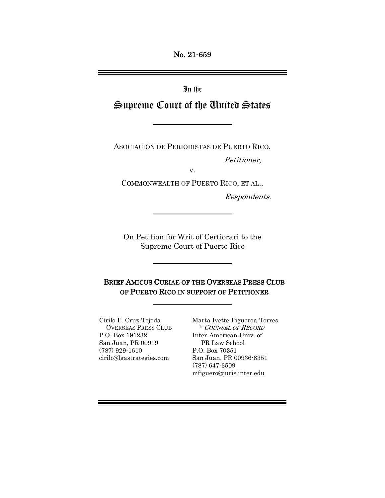No. 21-659

In the

# Supreme Court of the United States

ASOCIACIÓN DE PERIODISTAS DE PUERTO RICO,

Petitioner,

v.

COMMONWEALTH OF PUERTO RICO, ET AL.,

Respondents.

On Petition for Writ of Certiorari to the Supreme Court of Puerto Rico

BRIEF AMICUS CURIAE OF THE OVERSEAS PRESS CLUB OF PUERTO RICO IN SUPPORT OF PETITIONER

P.O. Box 191232 Inter-American Univ. of San Juan, PR 00919 PR Law School (787) 929-1610 P.O. Box 70351

Cirilo F. Cruz-Tejeda Marta Ivette Figueroa-Torres OVERSEAS PRESS CLUB \* COUNSEL OF RECORD cirilo@lgastrategies.com San Juan, PR 00936-8351 (787) 647-3509 mfiguero@juris.inter.edu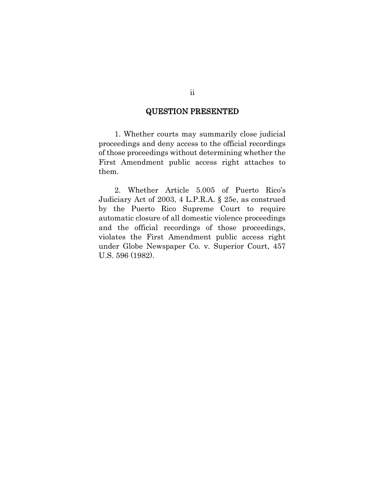### QUESTION PRESENTED

1. Whether courts may summarily close judicial proceedings and deny access to the official recordings of those proceedings without determining whether the First Amendment public access right attaches to them.

2. Whether Article 5.005 of Puerto Rico's Judiciary Act of 2003, 4 L.P.R.A. § 25e, as construed by the Puerto Rico Supreme Court to require automatic closure of all domestic violence proceedings and the official recordings of those proceedings, violates the First Amendment public access right under Globe Newspaper Co. v. Superior Court, 457 U.S. 596 (1982).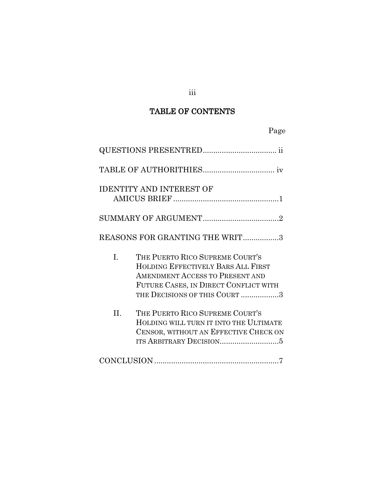# TABLE OF CONTENTS

| Page                                                                                                                                                                                            |  |
|-------------------------------------------------------------------------------------------------------------------------------------------------------------------------------------------------|--|
|                                                                                                                                                                                                 |  |
|                                                                                                                                                                                                 |  |
| <b>IDENTITY AND INTEREST OF</b>                                                                                                                                                                 |  |
|                                                                                                                                                                                                 |  |
| REASONS FOR GRANTING THE WRIT3                                                                                                                                                                  |  |
| I.<br>THE PUERTO RICO SUPREME COURT'S<br>HOLDING EFFECTIVELY BARS ALL FIRST<br><b>AMENDMENT ACCESS TO PRESENT AND</b><br>FUTURE CASES, IN DIRECT CONFLICT WITH<br>THE DECISIONS OF THIS COURT 3 |  |
| II.<br>THE PUERTO RICO SUPREME COURT'S<br>HOLDING WILL TURN IT INTO THE ULTIMATE<br>CENSOR, WITHOUT AN EFFECTIVE CHECK ON                                                                       |  |
|                                                                                                                                                                                                 |  |

# iii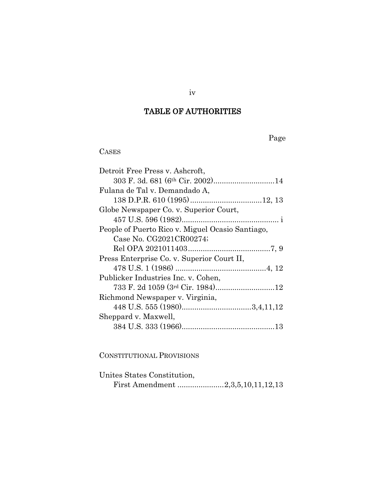# TABLE OF AUTHORITIES

Page

## CASES

| Detroit Free Press v. Ashcroft,                  |
|--------------------------------------------------|
| 303 F. 3d. 681 (6th Cir. 2002)14                 |
| Fulana de Tal v. Demandado A,                    |
|                                                  |
| Globe Newspaper Co. v. Superior Court,           |
|                                                  |
| People of Puerto Rico v. Miguel Ocasio Santiago, |
| Case No. CG2021CR00274;                          |
|                                                  |
| Press Enterprise Co. v. Superior Court II,       |
|                                                  |
| Publicker Industries Inc. v. Cohen,              |
|                                                  |
| Richmond Newspaper v. Virginia,                  |
|                                                  |
| Sheppard v. Maxwell,                             |
|                                                  |
|                                                  |
|                                                  |

## CONSTITUTIONAL PROVISIONS

| Unites States Constitution,       |  |
|-----------------------------------|--|
| First Amendment 2,3,5,10,11,12,13 |  |

iv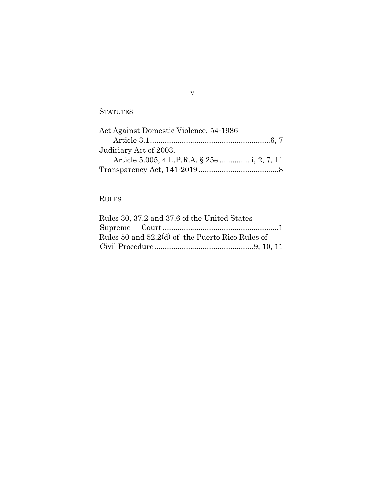### **STATUTES**

| Act Against Domestic Violence, 54-1986       |  |
|----------------------------------------------|--|
|                                              |  |
| Judiciary Act of 2003,                       |  |
| Article 5.005, 4 L.P.R.A. § 25e  i, 2, 7, 11 |  |
|                                              |  |

# RULES

| Rules 30, 37.2 and 37.6 of the United States     |  |
|--------------------------------------------------|--|
|                                                  |  |
| Rules 50 and 52.2(d) of the Puerto Rico Rules of |  |
|                                                  |  |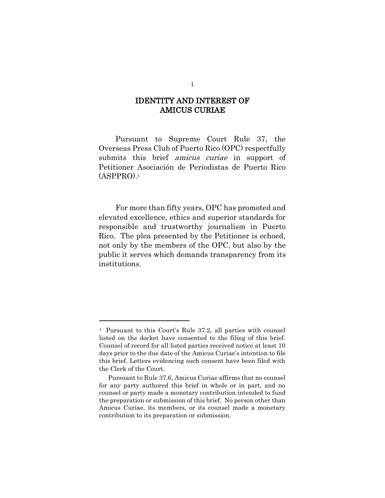### IDENTITY AND INTEREST OF AMICUS CURIAE

Pursuant to Supreme Court Rule 37, the Overseas Press Club of Puerto Rico (OPC) respectfully submits this brief *amicus curiae* in support of Petitioner Asociación de Periodistas de Puerto Rico (ASPPRO). 1

For more than fifty years, OPC has promoted and elevated excellence, ethics and superior standards for responsible and trustworthy journalism in Puerto Rico. The plea presented by the Petitioner is echoed, not only by the members of the OPC, but also by the public it serves which demands transparency from its institutions.

<sup>1</sup> Pursuant to this Court's Rule 37.2, all parties with counsel listed on the docket have consented to the filing of this brief. Counsel of record for all listed parties received notice at least 10 days prior to the due date of the Amicus Curiae's intention to file this brief. Letters evidencing such consent have been filed with the Clerk of the Court.

Pursuant to Rule 37.6, Amicus Curiae affirms that no counsel for any party authored this brief in whole or in part, and no counsel or party made a monetary contribution intended to fund the preparation or submission of this brief. No person other than Amicus Curiae, its members, or its counsel made a monetary contribution to its preparation or submission.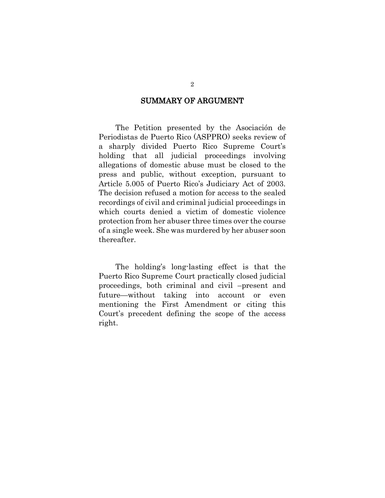### SUMMARY OF ARGUMENT

The Petition presented by the Asociación de Periodistas de Puerto Rico (ASPPRO) seeks review of a sharply divided Puerto Rico Supreme Court's holding that all judicial proceedings involving allegations of domestic abuse must be closed to the press and public, without exception, pursuant to Article 5.005 of Puerto Rico's Judiciary Act of 2003. The decision refused a motion for access to the sealed recordings of civil and criminal judicial proceedings in which courts denied a victim of domestic violence protection from her abuser three times over the course of a single week. She was murdered by her abuser soon thereafter.

The holding's long-lasting effect is that the Puerto Rico Supreme Court practically closed judicial proceedings, both criminal and civil –present and future—without taking into account or even mentioning the First Amendment or citing this Court's precedent defining the scope of the access right.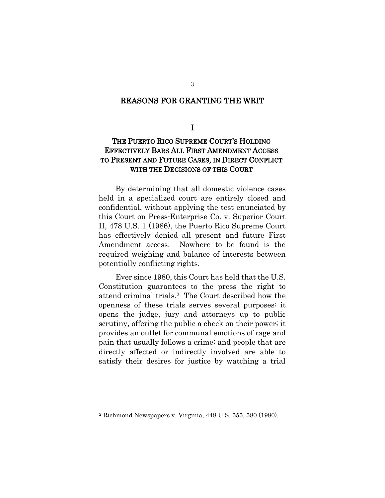#### REASONS FOR GRANTING THE WRIT

I

### THE PUERTO RICO SUPREME COURT'S HOLDING EFFECTIVELY BARS ALL FIRST AMENDMENT ACCESS TO PRESENT AND FUTURE CASES, IN DIRECT CONFLICT WITH THE DECISIONS OF THIS COURT

By determining that all domestic violence cases held in a specialized court are entirely closed and confidential, without applying the test enunciated by this Court on Press-Enterprise Co. v. Superior Court II, 478 U.S. 1 (1986), the Puerto Rico Supreme Court has effectively denied all present and future First Amendment access. Nowhere to be found is the required weighing and balance of interests between potentially conflicting rights.

Ever since 1980, this Court has held that the U.S. Constitution guarantees to the press the right to attend criminal trials.2 The Court described how the openness of these trials serves several purposes: it opens the judge, jury and attorneys up to public scrutiny, offering the public a check on their power; it provides an outlet for communal emotions of rage and pain that usually follows a crime; and people that are directly affected or indirectly involved are able to satisfy their desires for justice by watching a trial

3

<sup>2</sup> Richmond Newspapers v. Virginia, 448 U.S. 555, 580 (1980).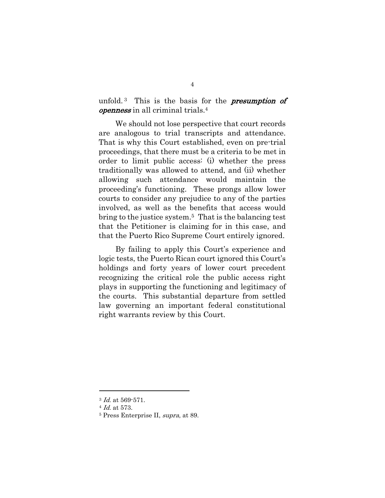unfold.<sup>3</sup> This is the basis for the **presumption** of openness in all criminal trials.<sup>4</sup>

We should not lose perspective that court records are analogous to trial transcripts and attendance. That is why this Court established, even on pre-trial proceedings, that there must be a criteria to be met in order to limit public access: (i) whether the press traditionally was allowed to attend, and (ii) whether allowing such attendance would maintain the proceeding's functioning. These prongs allow lower courts to consider any prejudice to any of the parties involved, as well as the benefits that access would bring to the justice system.5 That is the balancing test that the Petitioner is claiming for in this case, and that the Puerto Rico Supreme Court entirely ignored.

By failing to apply this Court's experience and logic tests, the Puerto Rican court ignored this Court's holdings and forty years of lower court precedent recognizing the critical role the public access right plays in supporting the functioning and legitimacy of the courts. This substantial departure from settled law governing an important federal constitutional right warrants review by this Court.

<sup>3</sup> Id. at 569-571.

<sup>4</sup> Id. at 573.

<sup>5</sup> Press Enterprise II, supra, at 89.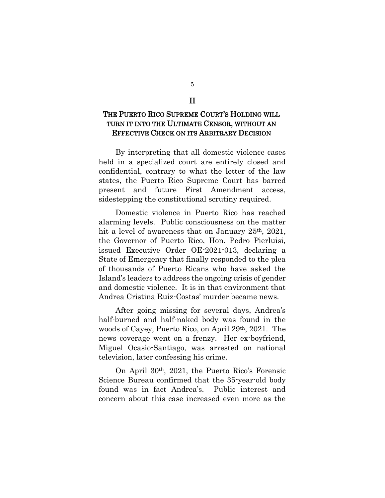#### II

### THE PUERTO RICO SUPREME COURT'S HOLDING WILL TURN IT INTO THE ULTIMATE CENSOR, WITHOUT AN EFFECTIVE CHECK ON ITS ARBITRARY DECISION

By interpreting that all domestic violence cases held in a specialized court are entirely closed and confidential, contrary to what the letter of the law states, the Puerto Rico Supreme Court has barred present and future First Amendment access, sidestepping the constitutional scrutiny required.

Domestic violence in Puerto Rico has reached alarming levels. Public consciousness on the matter hit a level of awareness that on January 25<sup>th</sup>, 2021, the Governor of Puerto Rico, Hon. Pedro Pierluisi, issued Executive Order OE-2021-013, declaring a State of Emergency that finally responded to the plea of thousands of Puerto Ricans who have asked the Island's leaders to address the ongoing crisis of gender and domestic violence. It is in that environment that Andrea Cristina Ruiz-Costas' murder became news.

After going missing for several days, Andrea's half-burned and half-naked body was found in the woods of Cayey, Puerto Rico, on April 29th, 2021. The news coverage went on a frenzy. Her ex-boyfriend, Miguel Ocasio-Santiago, was arrested on national television, later confessing his crime.

On April 30th, 2021, the Puerto Rico's Forensic Science Bureau confirmed that the 35-year-old body found was in fact Andrea's. Public interest and concern about this case increased even more as the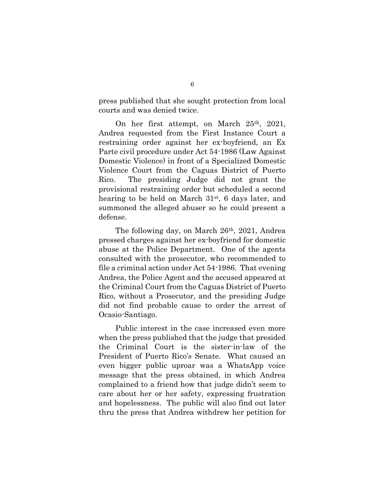press published that she sought protection from local courts and was denied twice.

On her first attempt, on March 25th, 2021, Andrea requested from the First Instance Court a restraining order against her ex-boyfriend, an Ex Parte civil procedure under Act 54-1986 (Law Against Domestic Violence) in front of a Specialized Domestic Violence Court from the Caguas District of Puerto Rico. The presiding Judge did not grant the provisional restraining order but scheduled a second hearing to be held on March 31st, 6 days later, and summoned the alleged abuser so he could present a defense.

The following day, on March 26th, 2021, Andrea pressed charges against her ex-boyfriend for domestic abuse at the Police Department. One of the agents consulted with the prosecutor, who recommended to file a criminal action under Act 54-1986. That evening Andrea, the Police Agent and the accused appeared at the Criminal Court from the Caguas District of Puerto Rico, without a Prosecutor, and the presiding Judge did not find probable cause to order the arrest of Ocasio-Santiago.

Public interest in the case increased even more when the press published that the judge that presided the Criminal Court is the sister-in-law of the President of Puerto Rico's Senate. What caused an even bigger public uproar was a WhatsApp voice message that the press obtained, in which Andrea complained to a friend how that judge didn't seem to care about her or her safety, expressing frustration and hopelessness. The public will also find out later thru the press that Andrea withdrew her petition for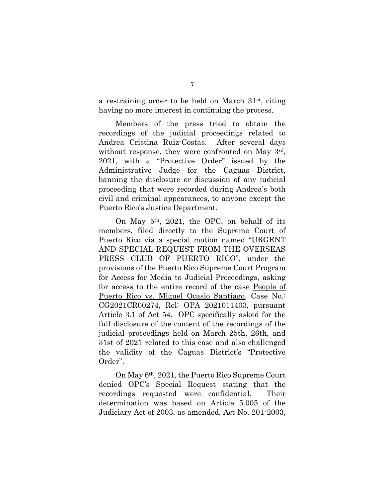a restraining order to be held on March 31st, citing having no more interest in continuing the process.

Members of the press tried to obtain the recordings of the judicial proceedings related to Andrea Cristina Ruiz-Costas. After several days without response, they were confronted on May 3<sup>rd</sup>, 2021, with a "Protective Order" issued by the Administrative Judge for the Caguas District, banning the disclosure or discussion of any judicial proceeding that were recorded during Andrea's both civil and criminal appearances, to anyone except the Puerto Rico's Justice Department.

On May 5th, 2021, the OPC, on behalf of its members, filed directly to the Supreme Court of Puerto Rico via a special motion named "URGENT AND SPECIAL REQUEST FROM THE OVERSEAS PRESS CLUB OF PUERTO RICO", under the provisions of the Puerto Rico Supreme Court Program for Access for Media to Judicial Proceedings, asking for access to the entire record of the case People of Puerto Rico vs. Miguel Ocasio Santiago, Case No.: CG2021CR00274, Rel: OPA 2021011403, pursuant Article 3.1 of Act 54. OPC specifically asked for the full disclosure of the content of the recordings of the judicial proceedings held on March 25th, 26th, and 31st of 2021 related to this case and also challenged the validity of the Caguas District's "Protective Order".

On May 6th, 2021, the Puerto Rico Supreme Court denied OPC's Special Request stating that the recordings requested were confidential. Their determination was based on Article 5.005 of the Judiciary Act of 2003, as amended, Act No. 201-2003,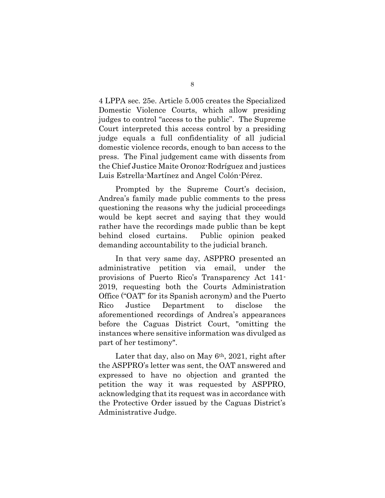4 LPPA sec. 25e. Article 5.005 creates the Specialized Domestic Violence Courts, which allow presiding judges to control "access to the public". The Supreme Court interpreted this access control by a presiding judge equals a full confidentiality of all judicial domestic violence records, enough to ban access to the press. The Final judgement came with dissents from the Chief Justice Maite Oronoz-Rodríguez and justices Luis Estrella-Martínez and Angel Colón-Pérez.

Prompted by the Supreme Court's decision, Andrea's family made public comments to the press questioning the reasons why the judicial proceedings would be kept secret and saying that they would rather have the recordings made public than be kept behind closed curtains. Public opinion peaked demanding accountability to the judicial branch.

In that very same day, ASPPRO presented an administrative petition via email, under the provisions of Puerto Rico's Transparency Act 141- 2019, requesting both the Courts Administration Office ("OAT" for its Spanish acronym) and the Puerto Rico Justice Department to disclose the aforementioned recordings of Andrea's appearances before the Caguas District Court, "omitting the instances where sensitive information was divulged as part of her testimony".

Later that day, also on May  $6<sup>th</sup>$ , 2021, right after the ASPPRO's letter was sent, the OAT answered and expressed to have no objection and granted the petition the way it was requested by ASPPRO, acknowledging that its request was in accordance with the Protective Order issued by the Caguas District's Administrative Judge.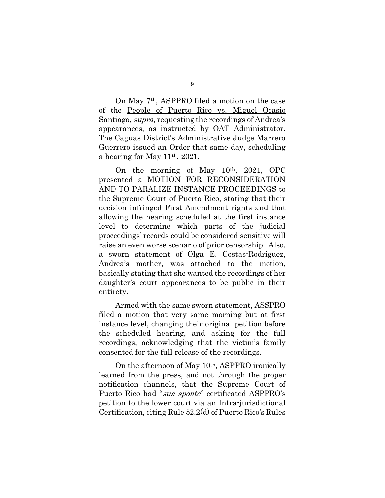On May 7th, ASPPRO filed a motion on the case of the People of Puerto Rico vs. Miguel Ocasio Santiago, *supra*, requesting the recordings of Andrea's appearances, as instructed by OAT Administrator. The Caguas District's Administrative Judge Marrero Guerrero issued an Order that same day, scheduling a hearing for May 11th, 2021.

On the morning of May 10th, 2021, OPC presented a MOTION FOR RECONSIDERATION AND TO PARALIZE INSTANCE PROCEEDINGS to the Supreme Court of Puerto Rico, stating that their decision infringed First Amendment rights and that allowing the hearing scheduled at the first instance level to determine which parts of the judicial proceedings' records could be considered sensitive will raise an even worse scenario of prior censorship. Also, a sworn statement of Olga E. Costas-Rodriguez, Andrea's mother, was attached to the motion, basically stating that she wanted the recordings of her daughter's court appearances to be public in their entirety.

Armed with the same sworn statement, ASSPRO filed a motion that very same morning but at first instance level, changing their original petition before the scheduled hearing, and asking for the full recordings, acknowledging that the victim's family consented for the full release of the recordings.

On the afternoon of May 10th, ASPPRO ironically learned from the press, and not through the proper notification channels, that the Supreme Court of Puerto Rico had "sua sponte" certificated ASPPRO's petition to the lower court via an Intra-jurisdictional Certification, citing Rule 52.2(d) of Puerto Rico's Rules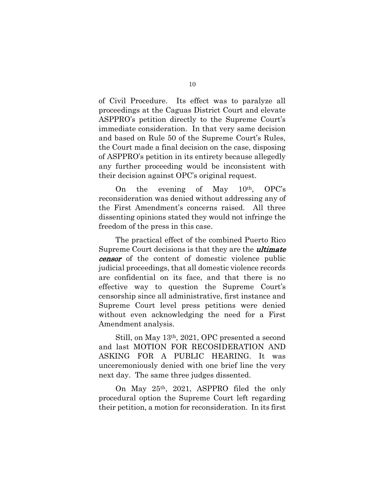of Civil Procedure. Its effect was to paralyze all proceedings at the Caguas District Court and elevate ASPPRO's petition directly to the Supreme Court's immediate consideration. In that very same decision and based on Rule 50 of the Supreme Court's Rules, the Court made a final decision on the case, disposing of ASPPRO's petition in its entirety because allegedly any further proceeding would be inconsistent with their decision against OPC's original request.

On the evening of May  $10<sup>th</sup>$ , OPC's reconsideration was denied without addressing any of the First Amendment's concerns raised. All three dissenting opinions stated they would not infringe the freedom of the press in this case.

The practical effect of the combined Puerto Rico Supreme Court decisions is that they are the *ultimate* censor of the content of domestic violence public judicial proceedings, that all domestic violence records are confidential on its face, and that there is no effective way to question the Supreme Court's censorship since all administrative, first instance and Supreme Court level press petitions were denied without even acknowledging the need for a First Amendment analysis.

Still, on May 13th, 2021, OPC presented a second and last MOTION FOR RECOSIDERATION AND ASKING FOR A PUBLIC HEARING. It was unceremoniously denied with one brief line the very next day. The same three judges dissented.

On May 25th, 2021, ASPPRO filed the only procedural option the Supreme Court left regarding their petition, a motion for reconsideration. In its first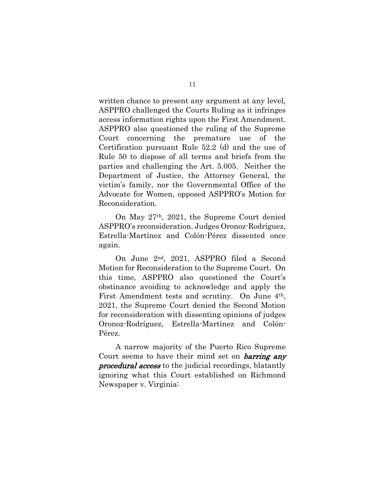written chance to present any argument at any level, ASPPRO challenged the Courts Ruling as it infringes access information rights upon the First Amendment. ASPPRO also questioned the ruling of the Supreme Court concerning the premature use of the Certification pursuant Rule 52.2 (d) and the use of Rule 50 to dispose of all terms and briefs from the parties and challenging the Art. 5.005. Neither the Department of Justice, the Attorney General, the victim's family, nor the Governmental Office of the Advocate for Women, opposed ASPPRO's Motion for Reconsideration.

On May 27th, 2021, the Supreme Court denied ASPPRO's reconsideration. Judges Oronoz-Rodríguez, Estrella-Martínez and Colón-Pérez dissented once again.

On June 2nd, 2021, ASPPRO filed a Second Motion for Reconsideration to the Supreme Court. On this time, ASPPRO also questioned the Court's obstinance avoiding to acknowledge and apply the First Amendment tests and scrutiny. On June 4<sup>th</sup>, 2021, the Supreme Court denied the Second Motion for reconsideration with dissenting opinions of judges Oronoz-Rodríguez, Estrella-Martínez and Colón-Pérez.

A narrow majority of the Puerto Rico Supreme Court seems to have their mind set on **barring any procedural access** to the judicial recordings, blatantly ignoring what this Court established on Richmond Newspaper v. Virginia: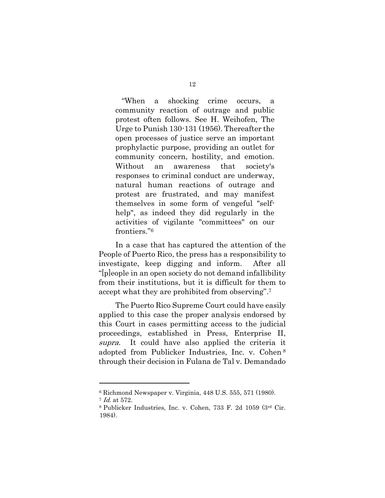"When a shocking crime occurs, a community reaction of outrage and public protest often follows. See H. Weihofen, The Urge to Punish 130-131 (1956). Thereafter the open processes of justice serve an important prophylactic purpose, providing an outlet for community concern, hostility, and emotion. Without an awareness that society's responses to criminal conduct are underway, natural human reactions of outrage and protest are frustrated, and may manifest themselves in some form of vengeful "selfhelp", as indeed they did regularly in the activities of vigilante "committees" on our frontiers."<sup>6</sup>

In a case that has captured the attention of the People of Puerto Rico, the press has a responsibility to investigate, keep digging and inform. After all "[p]eople in an open society do not demand infallibility from their institutions, but it is difficult for them to accept what they are prohibited from observing". 7

The Puerto Rico Supreme Court could have easily applied to this case the proper analysis endorsed by this Court in cases permitting access to the judicial proceedings, established in Press, Enterprise II, supra. It could have also applied the criteria it adopted from Publicker Industries, Inc. v. Cohen <sup>8</sup> through their decision in Fulana de Tal v. Demandado

<sup>6</sup> Richmond Newspaper v. Virginia, 448 U.S. 555, 571 (1980).

<sup>7</sup> Id. at 572.

<sup>8</sup> Publicker Industries, Inc. v. Cohen, 733 F. 2d 1059 (3rd Cir. 1984).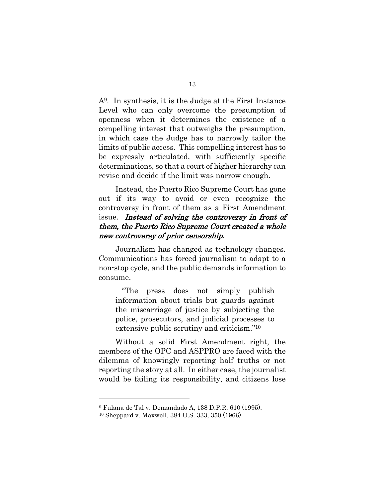A9. In synthesis, it is the Judge at the First Instance Level who can only overcome the presumption of openness when it determines the existence of a compelling interest that outweighs the presumption, in which case the Judge has to narrowly tailor the limits of public access. This compelling interest has to be expressly articulated, with sufficiently specific determinations, so that a court of higher hierarchy can revise and decide if the limit was narrow enough.

Instead, the Puerto Rico Supreme Court has gone out if its way to avoid or even recognize the controversy in front of them as a First Amendment issue. Instead of solving the controversy in front of them, the Puerto Rico Supreme Court created a whole new controversy of prior censorship.

Journalism has changed as technology changes. Communications has forced journalism to adapt to a non-stop cycle, and the public demands information to consume.

"The press does not simply publish information about trials but guards against the miscarriage of justice by subjecting the police, prosecutors, and judicial processes to extensive public scrutiny and criticism." 10

Without a solid First Amendment right, the members of the OPC and ASPPRO are faced with the dilemma of knowingly reporting half truths or not reporting the story at all. In either case, the journalist would be failing its responsibility, and citizens lose

<sup>9</sup> Fulana de Tal v. Demandado A, 138 D.P.R. 610 (1995).

<sup>10</sup> Sheppard v. Maxwell, 384 U.S. 333, 350 (1966)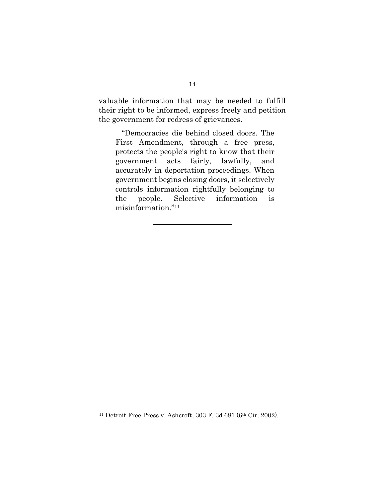valuable information that may be needed to fulfill their right to be informed, express freely and petition the government for redress of grievances.

"Democracies die behind closed doors. The First Amendment, through a free press, protects the people's right to know that their government acts fairly, lawfully, and accurately in deportation proceedings. When government begins closing doors, it selectively controls information rightfully belonging to the people. Selective information is misinformation."<sup>11</sup>

<sup>11</sup> Detroit Free Press v. Ashcroft, 303 F. 3d 681 (6th Cir. 2002).